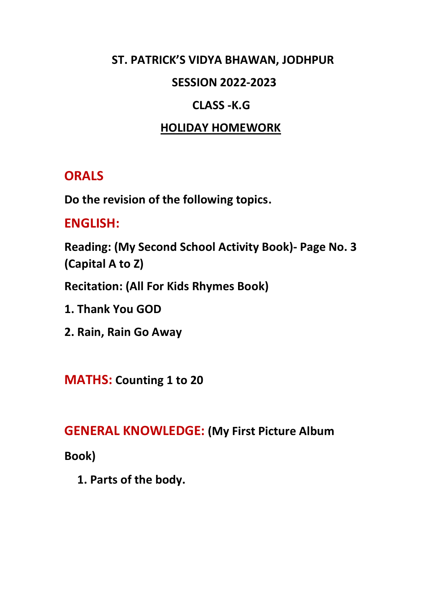### **ST. PATRICK'S VIDYA BHAWAN, JODHPUR**

#### **SESSION 2022-2023**

### **CLASS -K.G**

### **HOLIDAY HOMEWORK**

# **ORALS**

**Do the revision of the following topics.**

# **ENGLISH:**

**Reading: (My Second School Activity Book)- Page No. 3 (Capital A to Z)**

**Recitation: (All For Kids Rhymes Book)**

**1. Thank You GOD**

**2. Rain, Rain Go Away**

**MATHS: Counting 1 to 20**

#### **GENERAL KNOWLEDGE: (My First Picture Album**

**Book)**

**1. Parts of the body.**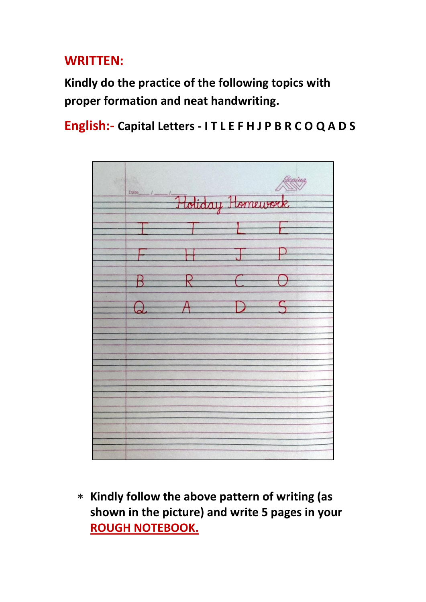# **WRITTEN:**

**Kindly do the practice of the following topics with proper formation and neat handwriting.**

**English:- Capital Letters - I T L E F H J P B R C O Q A D S**



 **Kindly follow the above pattern of writing (as shown in the picture) and write 5 pages in your ROUGH NOTEBOOK.**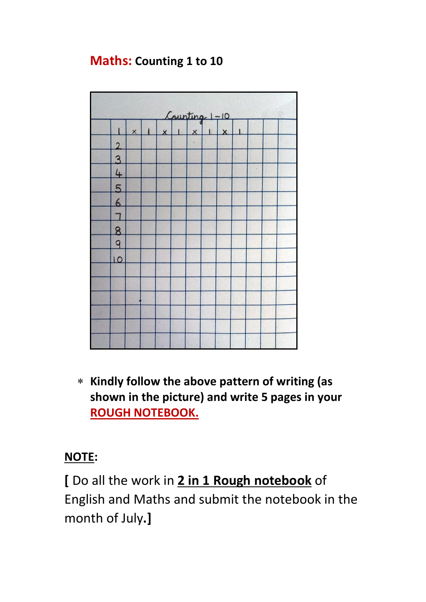# **Maths: Counting 1 to 10**



 **Kindly follow the above pattern of writing (as shown in the picture) and write 5 pages in your ROUGH NOTEBOOK.** 

# **NOTE:**

**[** Do all the work in **2 in 1 Rough notebook** of English and Maths and submit the notebook in the month of July**.]**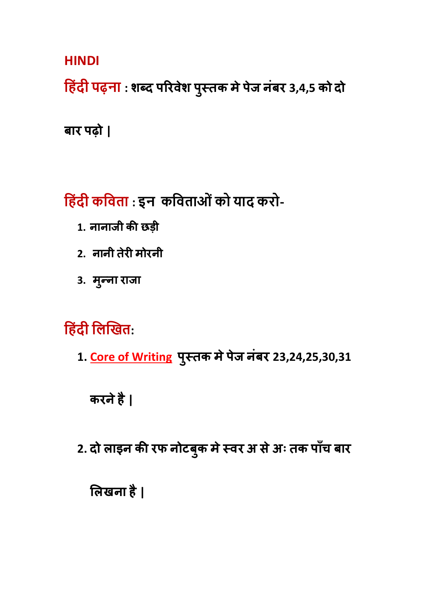**HINDI**

**ह िंदी पढ़ना : शब्द परिवेश प ुस्तक मेपेज नंबि 3,4,5 को दो**

**बाि पढ़ो |**

**ह िंदी कहिता : इन कहिताओिंको याद करो-**

- **1. नानाजी की छड़ी**
- **2. नानी तेिी मोिनी**
- **3. म ु न्ना िाजा**

**ह िंदी हिखित:** 

**1. Core of Writing प ुस्तक मेपेज नंबि 23,24,25,30,31** 

**किनेहै|**

**2. दो लाइन की िफ नोटब ु क मेस्वि अ सेअः तक पााँच बाि**

**ललखना है|**